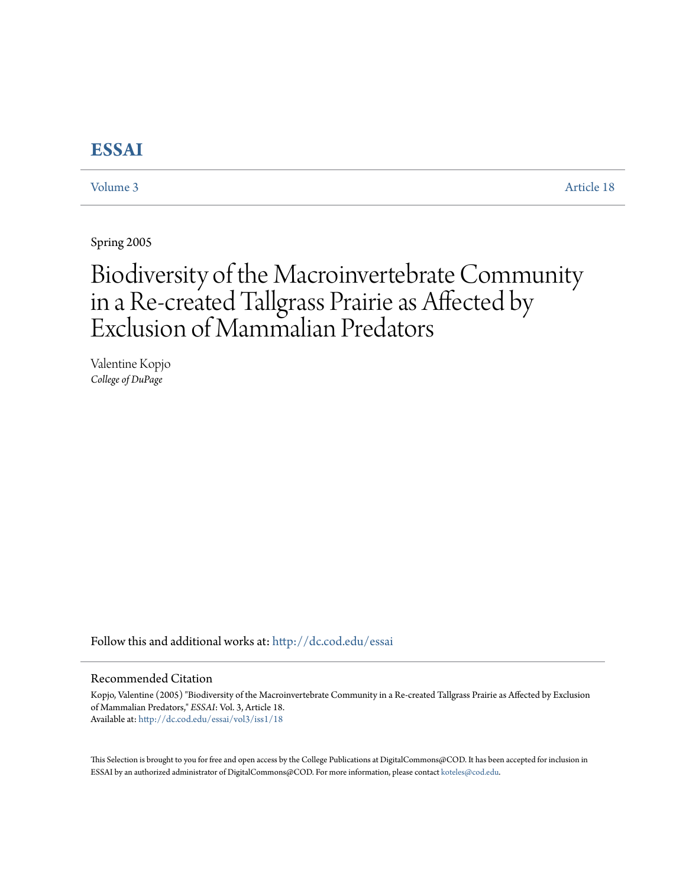# **[ESSAI](http://dc.cod.edu/essai?utm_source=dc.cod.edu%2Fessai%2Fvol3%2Fiss1%2F18&utm_medium=PDF&utm_campaign=PDFCoverPages)**

[Volume 3](http://dc.cod.edu/essai/vol3?utm_source=dc.cod.edu%2Fessai%2Fvol3%2Fiss1%2F18&utm_medium=PDF&utm_campaign=PDFCoverPages) [Article 18](http://dc.cod.edu/essai/vol3/iss1/18?utm_source=dc.cod.edu%2Fessai%2Fvol3%2Fiss1%2F18&utm_medium=PDF&utm_campaign=PDFCoverPages)

Spring 2005

# Biodiversity of the Macroinvertebrate Community in a Re-created Tallgrass Prairie as Affected by Exclusion of Mammalian Predators

Valentine Kopjo *College of DuPage*

Follow this and additional works at: [http://dc.cod.edu/essai](http://dc.cod.edu/essai?utm_source=dc.cod.edu%2Fessai%2Fvol3%2Fiss1%2F18&utm_medium=PDF&utm_campaign=PDFCoverPages)

#### Recommended Citation

Kopjo, Valentine (2005) "Biodiversity of the Macroinvertebrate Community in a Re-created Tallgrass Prairie as Affected by Exclusion of Mammalian Predators," *ESSAI*: Vol. 3, Article 18. Available at: [http://dc.cod.edu/essai/vol3/iss1/18](http://dc.cod.edu/essai/vol3/iss1/18?utm_source=dc.cod.edu%2Fessai%2Fvol3%2Fiss1%2F18&utm_medium=PDF&utm_campaign=PDFCoverPages)

This Selection is brought to you for free and open access by the College Publications at DigitalCommons@COD. It has been accepted for inclusion in ESSAI by an authorized administrator of DigitalCommons@COD. For more information, please contact [koteles@cod.edu](mailto:koteles@cod.edu).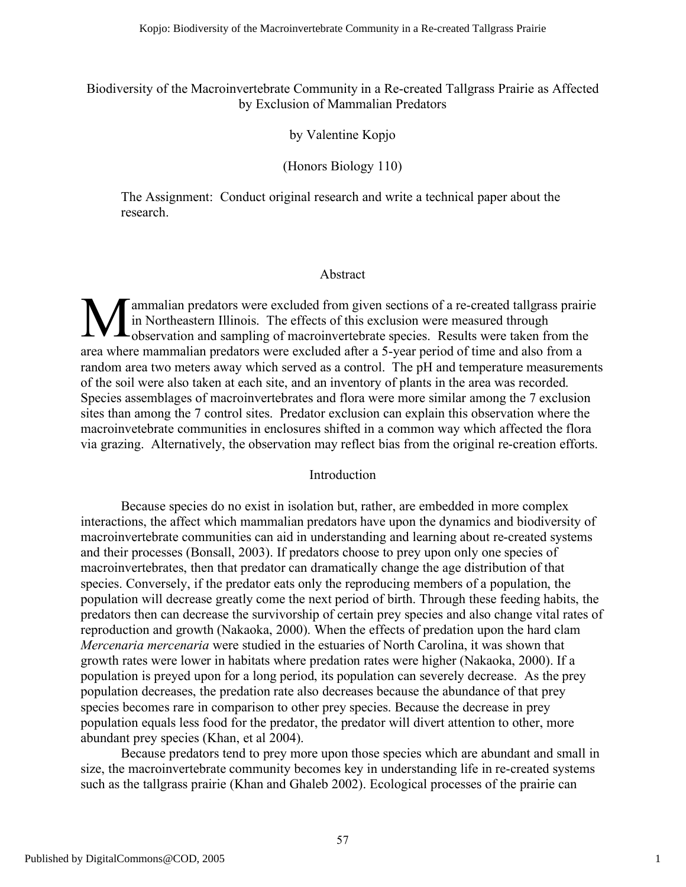Biodiversity of the Macroinvertebrate Community in a Re-created Tallgrass Prairie as Affected by Exclusion of Mammalian Predators

### by Valentine Kopjo

## (Honors Biology 110)

The Assignment: Conduct original research and write a technical paper about the research.

#### Abstract

ammalian predators were excluded from given sections of a re-created tallgrass prairie in Northeastern Illinois. The effects of this exclusion were measured through **Manualian predators were excluded from given sections of a re-created tallgrass prairing in Northeastern Illinois. The effects of this exclusion were measured through observation and sampling of macroinvertebrate species.** area where mammalian predators were excluded after a 5-year period of time and also from a random area two meters away which served as a control. The pH and temperature measurements of the soil were also taken at each site, and an inventory of plants in the area was recorded. Species assemblages of macroinvertebrates and flora were more similar among the 7 exclusion sites than among the 7 control sites. Predator exclusion can explain this observation where the macroinvetebrate communities in enclosures shifted in a common way which affected the flora via grazing. Alternatively, the observation may reflect bias from the original re-creation efforts.

#### Introduction

Because species do no exist in isolation but, rather, are embedded in more complex interactions, the affect which mammalian predators have upon the dynamics and biodiversity of macroinvertebrate communities can aid in understanding and learning about re-created systems and their processes (Bonsall, 2003). If predators choose to prey upon only one species of macroinvertebrates, then that predator can dramatically change the age distribution of that species. Conversely, if the predator eats only the reproducing members of a population, the population will decrease greatly come the next period of birth. Through these feeding habits, the predators then can decrease the survivorship of certain prey species and also change vital rates of reproduction and growth (Nakaoka, 2000). When the effects of predation upon the hard clam *Mercenaria mercenaria* were studied in the estuaries of North Carolina, it was shown that growth rates were lower in habitats where predation rates were higher (Nakaoka, 2000). If a population is preyed upon for a long period, its population can severely decrease. As the prey population decreases, the predation rate also decreases because the abundance of that prey species becomes rare in comparison to other prey species. Because the decrease in prey population equals less food for the predator, the predator will divert attention to other, more abundant prey species (Khan, et al 2004).

Because predators tend to prey more upon those species which are abundant and small in size, the macroinvertebrate community becomes key in understanding life in re-created systems such as the tallgrass prairie (Khan and Ghaleb 2002). Ecological processes of the prairie can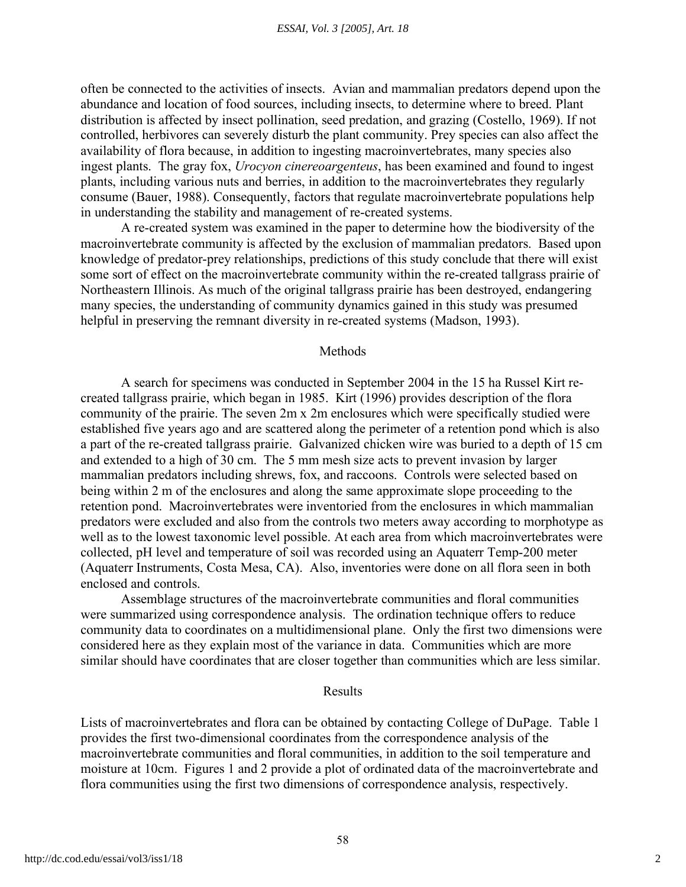often be connected to the activities of insects. Avian and mammalian predators depend upon the abundance and location of food sources, including insects, to determine where to breed. Plant distribution is affected by insect pollination, seed predation, and grazing (Costello, 1969). If not controlled, herbivores can severely disturb the plant community. Prey species can also affect the availability of flora because, in addition to ingesting macroinvertebrates, many species also ingest plants. The gray fox, *Urocyon cinereoargenteus*, has been examined and found to ingest plants, including various nuts and berries, in addition to the macroinvertebrates they regularly consume (Bauer, 1988). Consequently, factors that regulate macroinvertebrate populations help in understanding the stability and management of re-created systems.

A re-created system was examined in the paper to determine how the biodiversity of the macroinvertebrate community is affected by the exclusion of mammalian predators. Based upon knowledge of predator-prey relationships, predictions of this study conclude that there will exist some sort of effect on the macroinvertebrate community within the re-created tallgrass prairie of Northeastern Illinois. As much of the original tallgrass prairie has been destroyed, endangering many species, the understanding of community dynamics gained in this study was presumed helpful in preserving the remnant diversity in re-created systems (Madson, 1993).

#### Methods

A search for specimens was conducted in September 2004 in the 15 ha Russel Kirt recreated tallgrass prairie, which began in 1985. Kirt (1996) provides description of the flora community of the prairie. The seven 2m x 2m enclosures which were specifically studied were established five years ago and are scattered along the perimeter of a retention pond which is also a part of the re-created tallgrass prairie. Galvanized chicken wire was buried to a depth of 15 cm and extended to a high of 30 cm. The 5 mm mesh size acts to prevent invasion by larger mammalian predators including shrews, fox, and raccoons. Controls were selected based on being within 2 m of the enclosures and along the same approximate slope proceeding to the retention pond. Macroinvertebrates were inventoried from the enclosures in which mammalian predators were excluded and also from the controls two meters away according to morphotype as well as to the lowest taxonomic level possible. At each area from which macroinvertebrates were collected, pH level and temperature of soil was recorded using an Aquaterr Temp-200 meter (Aquaterr Instruments, Costa Mesa, CA). Also, inventories were done on all flora seen in both enclosed and controls.

Assemblage structures of the macroinvertebrate communities and floral communities were summarized using correspondence analysis. The ordination technique offers to reduce community data to coordinates on a multidimensional plane. Only the first two dimensions were considered here as they explain most of the variance in data. Communities which are more similar should have coordinates that are closer together than communities which are less similar.

#### Results

Lists of macroinvertebrates and flora can be obtained by contacting College of DuPage. Table 1 provides the first two-dimensional coordinates from the correspondence analysis of the macroinvertebrate communities and floral communities, in addition to the soil temperature and moisture at 10cm. Figures 1 and 2 provide a plot of ordinated data of the macroinvertebrate and flora communities using the first two dimensions of correspondence analysis, respectively.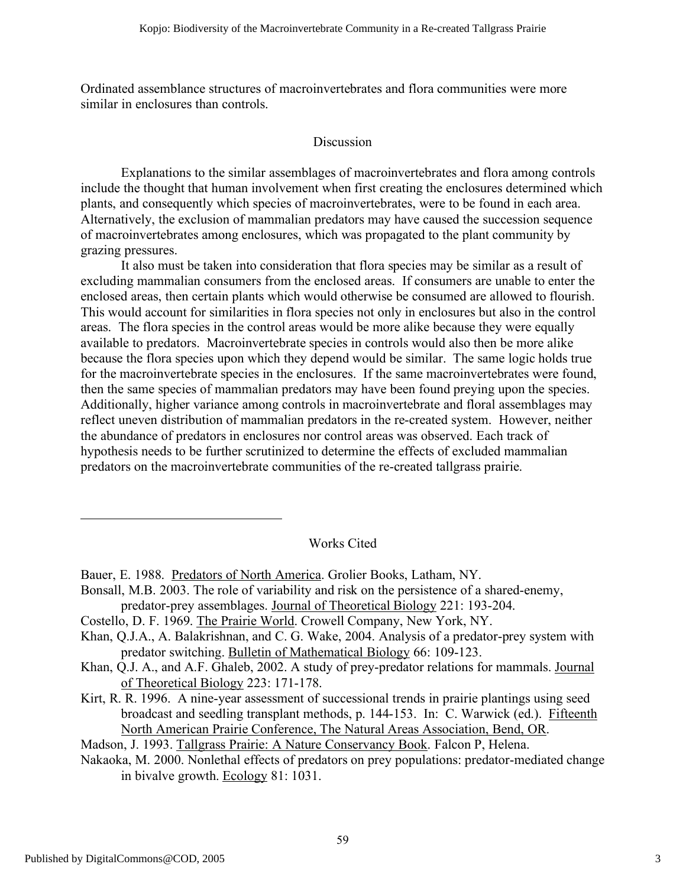Ordinated assemblance structures of macroinvertebrates and flora communities were more similar in enclosures than controls.

# **Discussion**

Explanations to the similar assemblages of macroinvertebrates and flora among controls include the thought that human involvement when first creating the enclosures determined which plants, and consequently which species of macroinvertebrates, were to be found in each area. Alternatively, the exclusion of mammalian predators may have caused the succession sequence of macroinvertebrates among enclosures, which was propagated to the plant community by grazing pressures.

It also must be taken into consideration that flora species may be similar as a result of excluding mammalian consumers from the enclosed areas. If consumers are unable to enter the enclosed areas, then certain plants which would otherwise be consumed are allowed to flourish. This would account for similarities in flora species not only in enclosures but also in the control areas. The flora species in the control areas would be more alike because they were equally available to predators. Macroinvertebrate species in controls would also then be more alike because the flora species upon which they depend would be similar. The same logic holds true for the macroinvertebrate species in the enclosures. If the same macroinvertebrates were found, then the same species of mammalian predators may have been found preying upon the species. Additionally, higher variance among controls in macroinvertebrate and floral assemblages may reflect uneven distribution of mammalian predators in the re-created system. However, neither the abundance of predators in enclosures nor control areas was observed. Each track of hypothesis needs to be further scrutinized to determine the effects of excluded mammalian predators on the macroinvertebrate communities of the re-created tallgrass prairie.

Works Cited

- Bonsall, M.B. 2003. The role of variability and risk on the persistence of a shared-enemy, predator-prey assemblages. Journal of Theoretical Biology 221: 193-204.
- Costello, D. F. 1969. The Prairie World. Crowell Company, New York, NY.
- Khan, Q.J.A., A. Balakrishnan, and C. G. Wake, 2004. Analysis of a predator-prey system with predator switching. Bulletin of Mathematical Biology 66: 109-123.
- Khan, Q.J. A., and A.F. Ghaleb, 2002. A study of prey-predator relations for mammals. Journal of Theoretical Biology 223: 171-178.
- Kirt, R. R. 1996. A nine-year assessment of successional trends in prairie plantings using seed broadcast and seedling transplant methods, p. 144-153. In: C. Warwick (ed.). Fifteenth North American Prairie Conference, The Natural Areas Association, Bend, OR.

Madson, J. 1993. Tallgrass Prairie: A Nature Conservancy Book. Falcon P, Helena.

Nakaoka, M. 2000. Nonlethal effects of predators on prey populations: predator-mediated change in bivalve growth. Ecology 81: 1031.

Bauer, E. 1988. Predators of North America. Grolier Books, Latham, NY.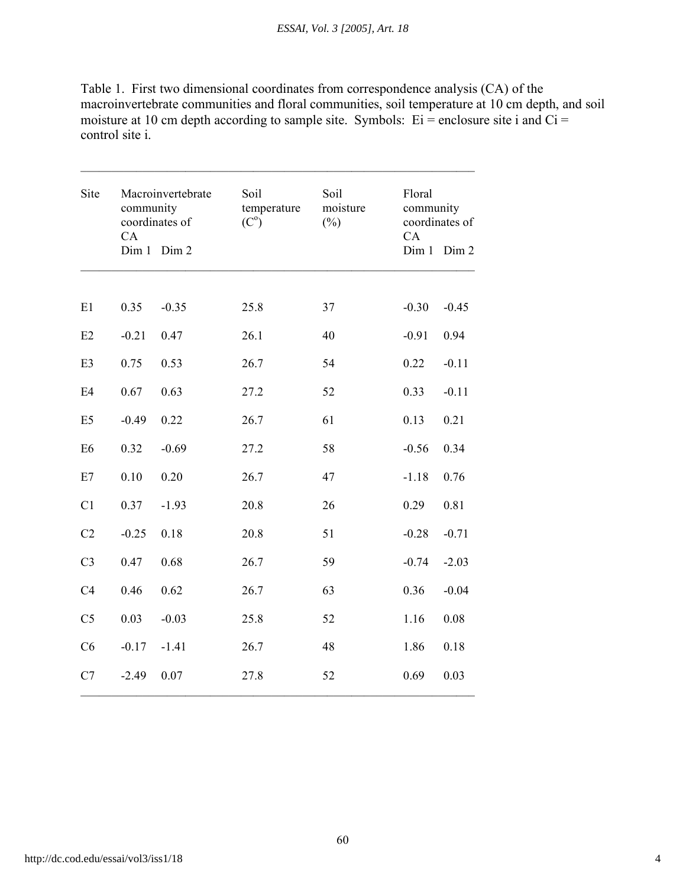Table 1. First two dimensional coordinates from correspondence analysis (CA) of the macroinvertebrate communities and floral communities, soil temperature at 10 cm depth, and soil moisture at 10 cm depth according to sample site. Symbols:  $Ei$  = enclosure site i and Ci = control site i.

| Site           | Macroinvertebrate<br>community<br>coordinates of<br>CA<br>Dim 1<br>Dim 2 |         | Soil<br>temperature<br>(C <sup>o</sup> ) | Soil<br>moisture<br>$(\%)$ | Floral<br>community<br>coordinates of<br>CA<br>Dim 1<br>Dim 2 |         |
|----------------|--------------------------------------------------------------------------|---------|------------------------------------------|----------------------------|---------------------------------------------------------------|---------|
|                |                                                                          |         |                                          |                            |                                                               |         |
| E1             | 0.35                                                                     | $-0.35$ | 25.8                                     | 37                         | $-0.30$                                                       | $-0.45$ |
| E2             | $-0.21$                                                                  | 0.47    | 26.1                                     | 40                         | $-0.91$                                                       | 0.94    |
| E <sub>3</sub> | 0.75                                                                     | 0.53    | 26.7                                     | 54                         | 0.22                                                          | $-0.11$ |
| E <sub>4</sub> | 0.67                                                                     | 0.63    | 27.2                                     | 52                         | 0.33                                                          | $-0.11$ |
| E <sub>5</sub> | $-0.49$                                                                  | 0.22    | 26.7                                     | 61                         | 0.13                                                          | 0.21    |
| E <sub>6</sub> | 0.32                                                                     | $-0.69$ | 27.2                                     | 58                         | $-0.56$                                                       | 0.34    |
| E7             | 0.10                                                                     | 0.20    | 26.7                                     | 47                         | $-1.18$                                                       | 0.76    |
| C <sub>1</sub> | 0.37                                                                     | $-1.93$ | 20.8                                     | 26                         | 0.29                                                          | 0.81    |
| C <sub>2</sub> | $-0.25$                                                                  | 0.18    | 20.8                                     | 51                         | $-0.28$                                                       | $-0.71$ |
| C <sub>3</sub> | 0.47                                                                     | 0.68    | 26.7                                     | 59                         | $-0.74$                                                       | $-2.03$ |
| C <sub>4</sub> | 0.46                                                                     | 0.62    | 26.7                                     | 63                         | 0.36                                                          | $-0.04$ |
| C <sub>5</sub> | 0.03                                                                     | $-0.03$ | 25.8                                     | 52                         | 1.16                                                          | 0.08    |
| C6             | $-0.17$                                                                  | $-1.41$ | 26.7                                     | 48                         | 1.86                                                          | 0.18    |
| C7             | $-2.49$                                                                  | 0.07    | 27.8                                     | 52                         | 0.69                                                          | 0.03    |